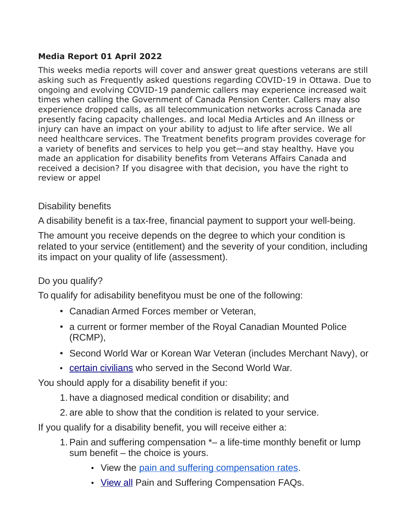## **Media Report 01 April 2022**

This weeks media reports will cover and answer great questions veterans are still asking such as Frequently asked questions regarding COVID-19 in Ottawa. Due to ongoing and evolving COVID-19 pandemic callers may experience increased wait times when calling the Government of Canada Pension Center. Callers may also experience dropped calls, as all telecommunication networks across Canada are presently facing capacity challenges. and local Media Articles and An illness or injury can have an impact on your ability to adjust to life after service. We all need healthcare services. The Treatment benefits program provides coverage for a variety of benefits and services to help you get—and stay healthy. Have you made an application for disability benefits from Veterans Affairs Canada and received a decision? If you disagree with that decision, you have the right to review or appel

## Disability benefits

A disability benefit is a tax-free, financial payment to support your well-being.

The amount you receive depends on the degree to which your condition is related to your service (entitlement) and the severity of your condition, including its impact on your quality of life (assessment).

## Do you qualify?

To qualify for adisability benefityou must be one of the following:

- Canadian Armed Forces member or Veteran,
- a current or former member of the Royal Canadian Mounted Police (RCMP),
- Second World War or Korean War Veteran (includes Merchant Navy), or
- [certain civilians](https://www.veterans.gc.ca/eng/health-support/physical-health-and-wellness/compensation-illness-injury/disability-benefits/civilians) who served in the Second World War.

You should apply for a disability benefit if you:

- 1. have a diagnosed medical condition or disability; and
- 2. are able to show that the condition is related to your service.

If you qualify for a disability benefit, you will receive either a:

- 1. Pain and suffering compensation \*– a life-time monthly benefit or lump sum benefit – the choice is yours.
	- View the [pain and suffering compensation rates.](https://www.veterans.gc.ca/eng/resources/rates#psc)
	- [View all](https://www.veterans.gc.ca/eng/services/pension-for-life/q-and-a#a3) Pain and Suffering Compensation FAQs.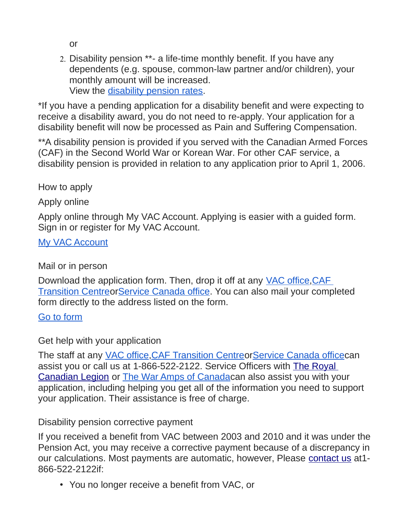or

2. Disability pension \*\*- a life-time monthly benefit. If you have any dependents (e.g. spouse, common-law partner and/or children), your monthly amount will be increased. View the [disability pension rates.](https://www.veterans.gc.ca/eng/resources/rates#dispen)

\*If you have a pending application for a disability benefit and were expecting to receive a disability award, you do not need to re-apply. Your application for a disability benefit will now be processed as Pain and Suffering Compensation.

\*\*A disability pension is provided if you served with the Canadian Armed Forces (CAF) in the Second World War or Korean War. For other CAF service, a disability pension is provided in relation to any application prior to April 1, 2006.

How to apply

Apply online

Apply online through My VAC Account. Applying is easier with a guided form. Sign in or register for My VAC Account.

[My VAC Account](https://www.veterans.gc.ca/eng/e_services)

Mail or in person

Download the application form. Then, drop it off at any [VAC office](https://www.veterans.gc.ca/eng/contact), CAF [Transition Centreo](https://www.veterans.gc.ca/eng/resources/transition-centre)[rService Canada office.](https://www.veterans.gc.ca/eng/contact) You can also mail your completed form directly to the address listed on the form.

[Go to form](https://www.veterans.gc.ca/eng/forms/document/616)

Get help with your application

The staff at any [VAC office](https://www.veterans.gc.ca/eng/contact), CAF Transition Centreor Service Canada office can assist you or call us at 1-866-522-2122. Service Officers with [The Royal](http://www.legion.ca/we-can-help/contact-a-service-officer/)  [Canadian Legion](http://www.legion.ca/we-can-help/contact-a-service-officer/) or [The War Amps of Canadac](http://www.waramps.ca/)an also assist you with your application, including helping you get all of the information you need to support your application. Their assistance is free of charge.

Disability pension corrective payment

If you received a benefit from VAC between 2003 and 2010 and it was under the Pension Act, you may receive a corrective payment because of a discrepancy in our calculations. Most payments are automatic, however, Please [contact us](https://www.veterans.gc.ca/eng/contact) at1-866-522-2122if:

• You no longer receive a benefit from VAC, or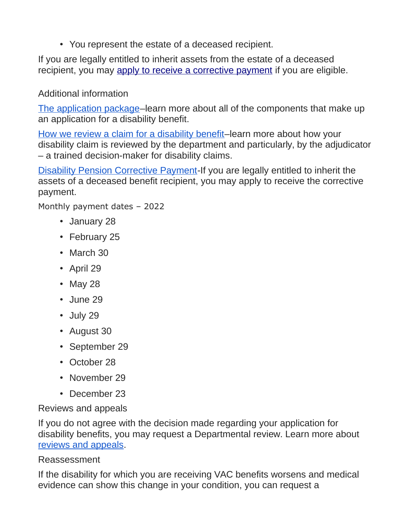• You represent the estate of a deceased recipient.

If you are legally entitled to inherit assets from the estate of a deceased recipient, you may [apply to receive a corrective payment](https://dpca-rcpi.vac-acc.gc.ca/dpca/public/login) if you are eligible.

# Additional information

[The application package–](https://www.veterans.gc.ca/eng/art-hub/what-to-include)learn more about all of the components that make up an application for a disability benefit.

[How we review a claim for a disability benefit–](https://www.veterans.gc.ca/eng/art-hub/disability-benefits-review-claim)learn more about how your disability claim is reviewed by the department and particularly, by the adjudicator – a trained decision-maker for disability claims.

[Disability Pension Corrective Payment-](https://www.veterans.gc.ca/eng/help/faq/disability-pension-correct-pay)If you are legally entitled to inherit the assets of a deceased benefit recipient, you may apply to receive the corrective payment.

Monthly payment dates – 2022

- January 28
- February 25
- March 30
- April 29
- May 28
- June 29
- July 29
- August 30
- September 29
- October 28
- November 29
- December 23

Reviews and appeals

If you do not agree with the decision made regarding your application for disability benefits, you may request a Departmental review. Learn more about [reviews and appeals.](https://www.veterans.gc.ca/eng/veterans-rights/how-to-appeal)

## Reassessment

If the disability for which you are receiving VAC benefits worsens and medical evidence can show this change in your condition, you can request a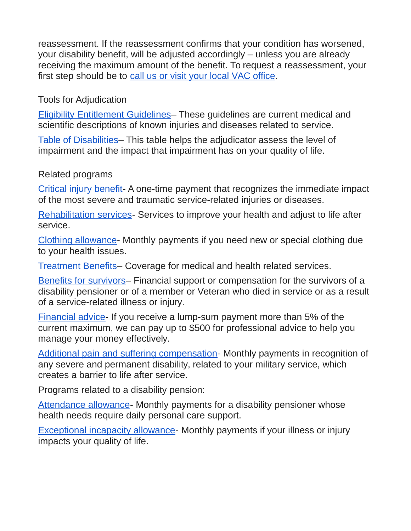reassessment. If the reassessment confirms that your condition has worsened, your disability benefit, will be adjusted accordingly – unless you are already receiving the maximum amount of the benefit. To request a reassessment, your first step should be to [call us or visit your local VAC office.](https://www.veterans.gc.ca/eng/contact)

Tools for Adjudication

[Eligibility Entitlement Guidelines–](https://www.veterans.gc.ca/eng/health-support/physical-health-and-wellness/compensation-illness-injury/disability-benefits/benefits-determined/entitlement-eligibility-guidelines/az-intro) These guidelines are current medical and scientific descriptions of known injuries and diseases related to service.

[Table of Disabilities–](https://www.veterans.gc.ca/eng/health-support/physical-health-and-wellness/compensation-illness-injury/disability-benefits/benefits-determined/table-of-disabilities) This table helps the adjudicator assess the level of impairment and the impact that impairment has on your quality of life.

## Related programs

[Critical injury benefit-](https://www.veterans.gc.ca/eng/financial-support/compensation-illness-injury/critical-injury-benefit) A one-time payment that recognizes the immediate impact of the most severe and traumatic service-related injuries or diseases.

[Rehabilitation services-](https://www.veterans.gc.ca/eng/health-support/physical-health-and-wellness/rehabilitation-services) Services to improve your health and adjust to life after service.

[Clothing allowance-](https://www.veterans.gc.ca/eng/health-support/physical-health-and-wellness/compensation-illness-injury/clothing-allowance) Monthly payments if you need new or special clothing due to your health issues.

[Treatment Benefits–](https://www.veterans.gc.ca/eng/financial-support/medical-costs/treatment-benefits) Coverage for medical and health related services.

[Benefits for survivors–](https://www.veterans.gc.ca/eng/family-caregiver/death-and-bereavement) Financial support or compensation for the survivors of a disability pensioner or of a member or Veteran who died in service or as a result of a service-related illness or injury.

[Financial advice-](https://www.veterans.gc.ca/eng/financial-support/financial-planning/financial-advice) If you receive a lump-sum payment more than 5% of the current maximum, we can pay up to \$500 for professional advice to help you manage your money effectively.

[Additional pain and suffering compensation-](https://www.veterans.gc.ca/eng/financial-support/income-support/additional-pain-suffering) Monthly payments in recognition of any severe and permanent disability, related to your military service, which creates a barrier to life after service.

Programs related to a disability pension:

[Attendance allowance-](https://www.veterans.gc.ca/eng/health-support/physical-health-and-wellness/compensation-illness-injury/attendance-allowance) Monthly payments for a disability pensioner whose health needs require daily personal care support.

[Exceptional incapacity allowance-](https://www.veterans.gc.ca/eng/health-support/physical-health-and-wellness/compensation-illness-injury/exceptional-incapacity-allowance) Monthly payments if your illness or injury impacts your quality of life.